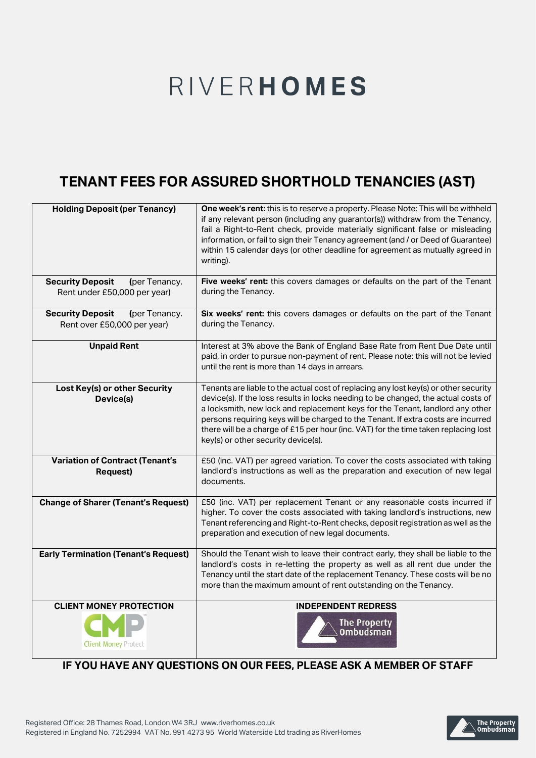# RIVERHOMES

## **TENANT FEES FOR ASSURED SHORTHOLD TENANCIES (AST)**

| <b>Holding Deposit (per Tenancy)</b>                                     | One week's rent: this is to reserve a property. Please Note: This will be withheld                                                                                                                                                                                                                                                                                                                                                                                             |
|--------------------------------------------------------------------------|--------------------------------------------------------------------------------------------------------------------------------------------------------------------------------------------------------------------------------------------------------------------------------------------------------------------------------------------------------------------------------------------------------------------------------------------------------------------------------|
|                                                                          | if any relevant person (including any guarantor(s)) withdraw from the Tenancy,<br>fail a Right-to-Rent check, provide materially significant false or misleading<br>information, or fail to sign their Tenancy agreement (and / or Deed of Guarantee)<br>within 15 calendar days (or other deadline for agreement as mutually agreed in<br>writing).                                                                                                                           |
| <b>Security Deposit</b><br>(per Tenancy.<br>Rent under £50,000 per year) | Five weeks' rent: this covers damages or defaults on the part of the Tenant<br>during the Tenancy.                                                                                                                                                                                                                                                                                                                                                                             |
| <b>Security Deposit</b><br>(per Tenancy.<br>Rent over £50,000 per year)  | Six weeks' rent: this covers damages or defaults on the part of the Tenant<br>during the Tenancy.                                                                                                                                                                                                                                                                                                                                                                              |
| <b>Unpaid Rent</b>                                                       | Interest at 3% above the Bank of England Base Rate from Rent Due Date until<br>paid, in order to pursue non-payment of rent. Please note: this will not be levied<br>until the rent is more than 14 days in arrears.                                                                                                                                                                                                                                                           |
| Lost Key(s) or other Security<br>Device(s)                               | Tenants are liable to the actual cost of replacing any lost key(s) or other security<br>device(s). If the loss results in locks needing to be changed, the actual costs of<br>a locksmith, new lock and replacement keys for the Tenant, landlord any other<br>persons requiring keys will be charged to the Tenant. If extra costs are incurred<br>there will be a charge of £15 per hour (inc. VAT) for the time taken replacing lost<br>key(s) or other security device(s). |
| <b>Variation of Contract (Tenant's</b><br><b>Request)</b>                | £50 (inc. VAT) per agreed variation. To cover the costs associated with taking<br>landlord's instructions as well as the preparation and execution of new legal<br>documents.                                                                                                                                                                                                                                                                                                  |
| <b>Change of Sharer (Tenant's Request)</b>                               | £50 (inc. VAT) per replacement Tenant or any reasonable costs incurred if<br>higher. To cover the costs associated with taking landlord's instructions, new<br>Tenant referencing and Right-to-Rent checks, deposit registration as well as the<br>preparation and execution of new legal documents.                                                                                                                                                                           |
| <b>Early Termination (Tenant's Request)</b>                              | Should the Tenant wish to leave their contract early, they shall be liable to the<br>landlord's costs in re-letting the property as well as all rent due under the<br>Tenancy until the start date of the replacement Tenancy. These costs will be no<br>more than the maximum amount of rent outstanding on the Tenancy.                                                                                                                                                      |
| <b>CLIENT MONEY PROTECTION</b><br><b>Client Money Protect</b>            | <b>INDEPENDENT REDRESS</b><br><b>The Property</b><br><b>Ombudsman</b>                                                                                                                                                                                                                                                                                                                                                                                                          |

### **IF YOU HAVE ANY QUESTIONS ON OUR FEES, PLEASE ASK A MEMBER OF STAFF**